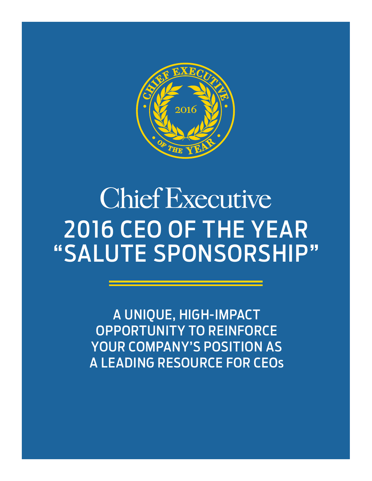

# **Chief Executive** 2016 CEO OF THE YEAR "SALUTE SPONSORSHIP"

A UNIQUE, HIGH-IMPACT OPPORTUNITY TO REINFORCE YOUR COMPANY'S POSITION AS A LEADING RESOURCE FOR CEOs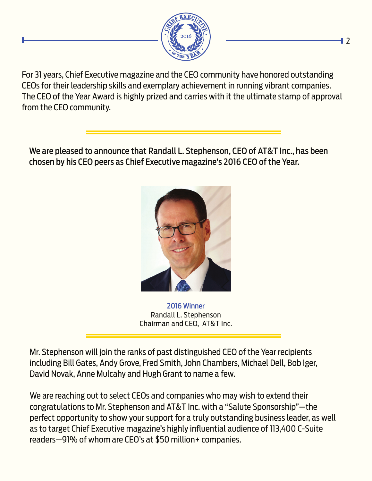

For 31 years, Chief Executive magazine and the CEO community have honored outstanding CEOs for their leadership skills and exemplary achievement in running vibrant companies. The CEO of the Year Award is highly prized and carries with it the ultimate stamp of approval from the CEO community.

We are pleased to announce that Randall L. Stephenson, CEO of AT&T Inc., has been chosen by his CEO peers as Chief Executive magazine's 2016 CEO of the Year.



2016 Winner Randall L. Stephenson Chairman and CEO, AT&T Inc.

Mr. Stephenson will join the ranks of past distinguished CEO of the Year recipients including Bill Gates, Andy Grove, Fred Smith, John Chambers, Michael Dell, Bob Iger, David Novak, Anne Mulcahy and Hugh Grant to name a few.

We are reaching out to select CEOs and companies who may wish to extend their congratulations to Mr. Stephenson and AT&T Inc. with a "Salute Sponsorship"—the perfect opportunity to show your support for a truly outstanding business leader, as well as to target Chief Executive magazine's highly influential audience of 113,400 C-Suite readers—91% of whom are CEO's at \$50 million+ companies.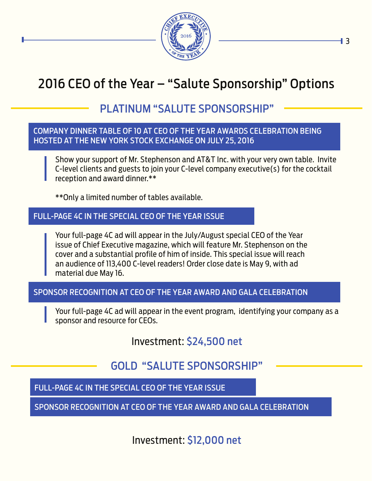

## 2016 CEO of the Year – "Salute Sponsorship" Options

## PLATINUM "SALUTE SPONSORSHIP"

#### COMPANY DINNER TABLE OF 10 AT CEO OF THE YEAR AWARDS CELEBRATION BEING HOSTED AT THE NEW YORK STOCK EXCHANGE ON JULY 25, 2016

Show your support of Mr. Stephenson and AT&T Inc. with your very own table. Invite C-level clients and guests to join your C-level company executive(s) for the cocktail reception and award dinner.\*\*

\*\*Only a limited number of tables available.

#### FULL-PAGE 4C IN THE SPECIAL CEO OF THE YEAR ISSUE

Your full-page 4C ad will appear in the July/August special CEO of the Year issue of Chief Executive magazine, which will feature Mr. Stephenson on the cover and a substantial profile of him of inside. This special issue will reach an audience of 113,400 C-level readers! Order close date is May 9, with ad material due May 16.

#### SPONSOR RECOGNITION AT CEO OF THE YEAR AWARD AND GALA CELEBRATION

Your full-page 4C ad will appear in the event program, identifying your company as a sponsor and resource for CEOs.

Investment: \$24,500 net

## GOLD "SALUTE SPONSORSHIP"

#### FULL-PAGE 4C IN THE SPECIAL CEO OF THE YEAR ISSUE

SPONSOR RECOGNITION AT CEO OF THE YEAR AWARD AND GALA CELEBRATION

Investment: \$12,000 net